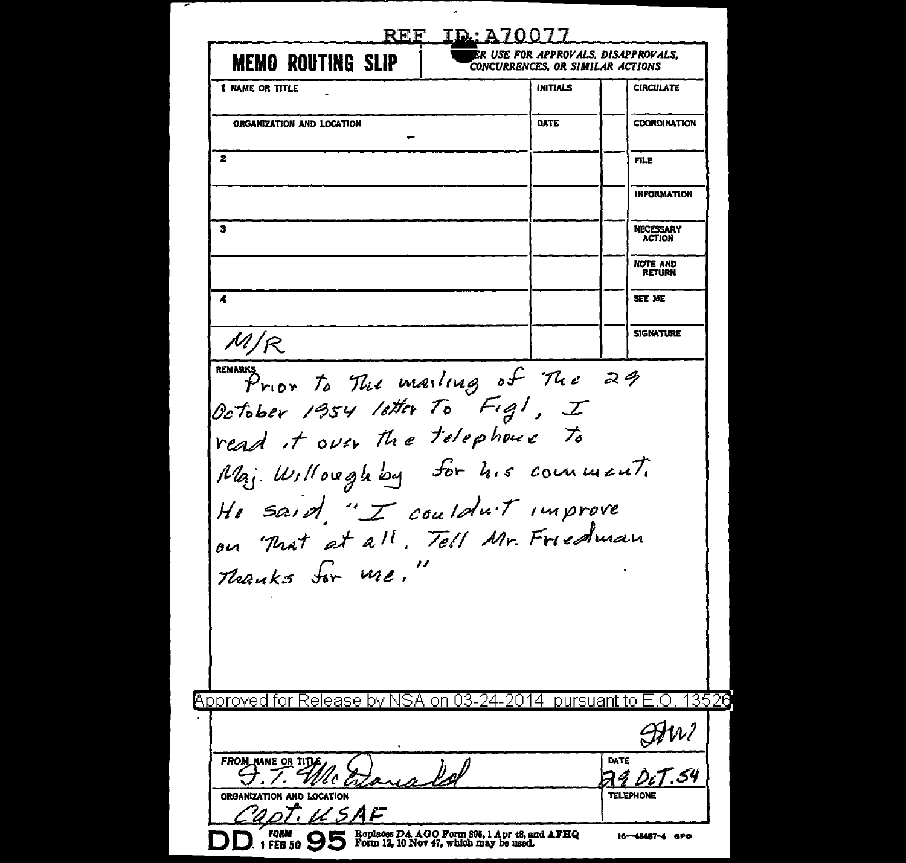| <b>MEMO ROUTING SLIP</b>                                                                                               | R USE FOR APPROVALS, DISAPPROVALS,<br>CONCURRENCES, OR SIMILAR ACTIONS |                                  |
|------------------------------------------------------------------------------------------------------------------------|------------------------------------------------------------------------|----------------------------------|
| <b>1 NAME OR TITLE</b>                                                                                                 | <b>INITIALS</b>                                                        | <b>CIRCULATE</b>                 |
| ORGANIZATION AND LOCATION                                                                                              | DATE                                                                   | <b>COORDINATION</b>              |
| 2                                                                                                                      |                                                                        | FILE                             |
|                                                                                                                        |                                                                        | <b>INFORMATION</b>               |
| 3                                                                                                                      |                                                                        | NECESSARY<br><b>ACTION</b>       |
|                                                                                                                        |                                                                        | <b>NOTE AND</b><br><b>RETURN</b> |
| 4                                                                                                                      |                                                                        | SEE ME                           |
| M/R                                                                                                                    |                                                                        | <b>SIGNATURE</b>                 |
| Maj. Willoughby for his comment.<br>He said "I couldn't improve<br>on That at all. Tell Mr. Friedman<br>Thanks for Me. |                                                                        |                                  |
| Approved for Release by NSA on 03-24-2014 pursuant to                                                                  |                                                                        | <u> 13520</u>                    |
| FROM_NAME OR TITLE                                                                                                     |                                                                        | DATE                             |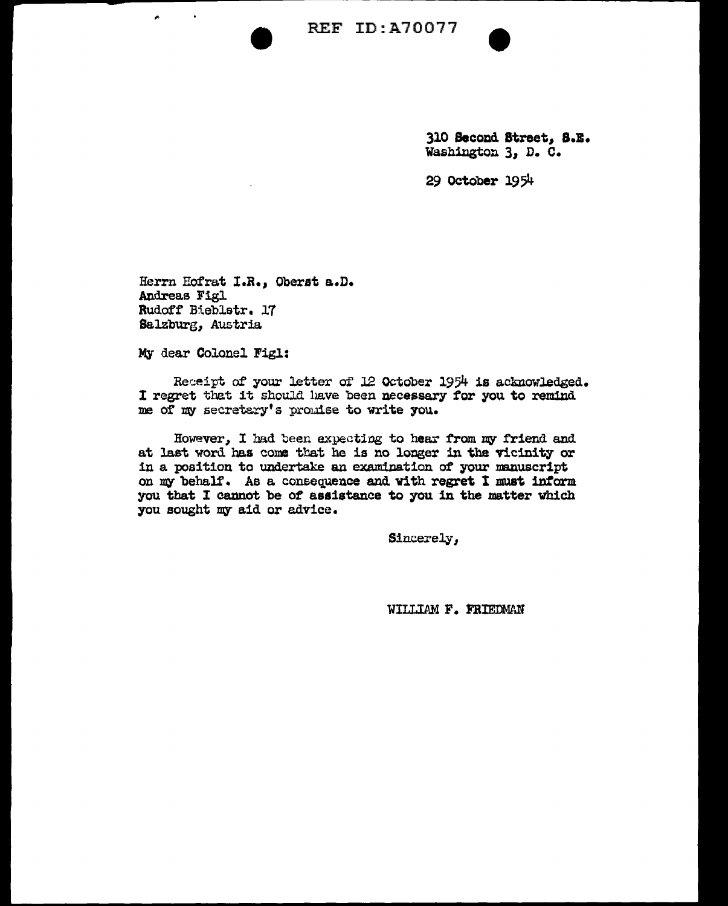

310 Second Street, 8.E. Washington 3, D. C.

29 October 1954

Herrn Hofrat I.R., Oberst a.D. Andreas Figl Rudoff Bieblstr. 17 Salzburg, Austria.

My dear Colonel Figl:

é.

Receipt of your letter of J2 October 1954 is acknowledged. I regret that it should have been necessary for you to remind me of my secretary's promise to write you.

However, I had been expecting to hear from my friend and at last word has come that he is no longer in the vicinity or in a position to undertake an examination of your manuscript on my behalf. As a consequence and with regret I must inform you that I cannot be *ot* assistance to you in the matter which you sought my aid or advice.

Sincerely,

WILLIAM F. FRIEDMAN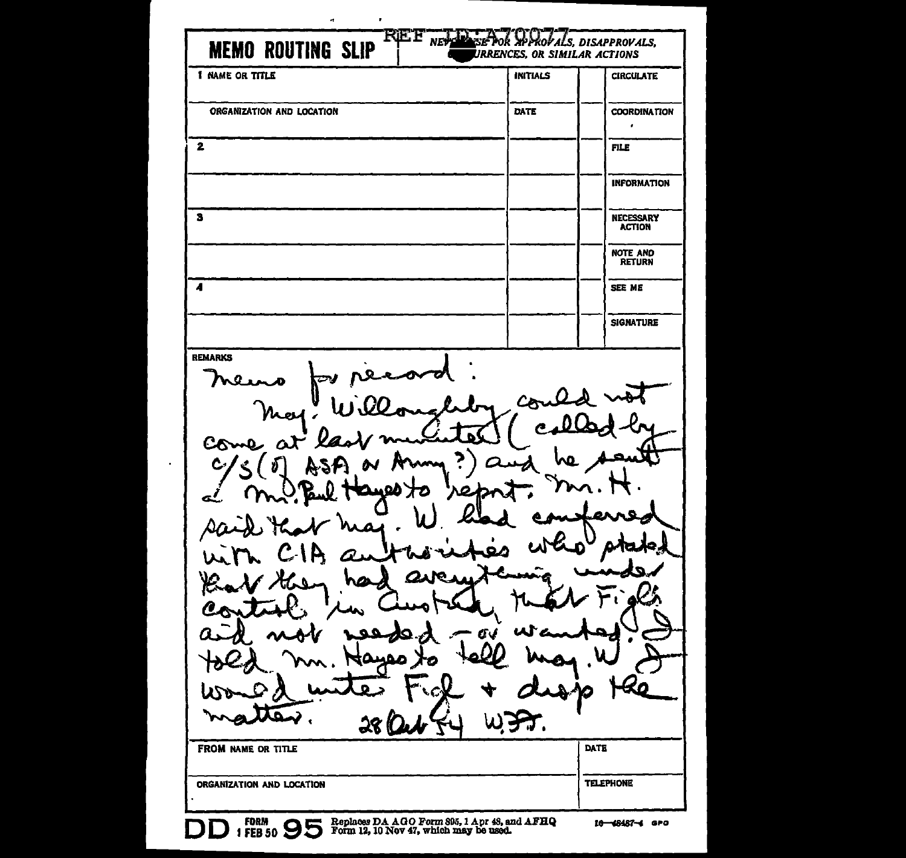| <b>MEMO ROUTING SLIP</b><br><b>I NAME OR TITLE</b>                           | <b>INITIALS</b> | URRENCES, OR SIMILAR ACTIONS<br><b>CIRCULATE</b> |
|------------------------------------------------------------------------------|-----------------|--------------------------------------------------|
|                                                                              |                 |                                                  |
| ORGANIZATION AND LOCATION                                                    | DATE            | <b>COORDINATION</b><br>$\pmb{\cdot}$             |
| 2                                                                            |                 | <b>FILE</b>                                      |
|                                                                              |                 | <b>INFORMATION</b>                               |
| з                                                                            |                 | <b>NECESSARY</b><br><b>ACTION</b>                |
|                                                                              |                 | NOTE AND<br>RETURN                               |
| 4                                                                            |                 | <b>SEE ME</b>                                    |
|                                                                              |                 | <b>SIGNATURE</b>                                 |
| <b>REMARKS</b><br>∼<br>Ø<br>Come                                             |                 |                                                  |
| œ<br>$\overline{\mathbf{Q}}$<br><b>W</b><br>28(<br><b>FROM NAME OR TITLE</b> | v<br>Œv<br>LC.  | κ٥<br>ት ገጋ<br>DATE                               |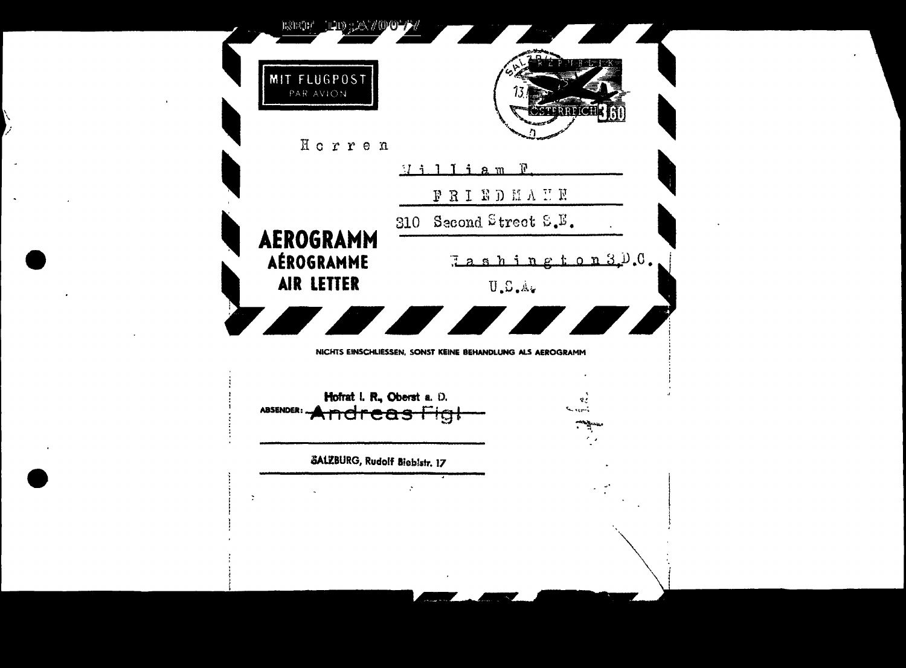| MIT FLUGPOST<br>PAR AVION                       |                                                            |
|-------------------------------------------------|------------------------------------------------------------|
| Horren                                          | R<br><u>I i a m</u>                                        |
|                                                 | <b>BBIBDNVNE</b>                                           |
|                                                 | 310 Second Street $E_\bullet E_\bullet$                    |
| AEROGRAMM<br>AÉROGRAMME                         | $7$ a s h i n g t o n 3. <sup>11</sup> .0.                 |
| AIR LETTER                                      | U.S.A.                                                     |
|                                                 | <b>THE REAL PROPERTY AND REAL</b><br>$\bigg($              |
|                                                 |                                                            |
|                                                 | NICHTS EINSCHLIESSEN, SONST KEINE BEHANDLUNG ALS AEROGRAMM |
|                                                 |                                                            |
| Hofrat I. R., Oberst a. D.                      | e                                                          |
| <b>ABSENDER</b><br><del>Indreas Hgl</del>       |                                                            |
|                                                 |                                                            |
| SALZBURG, Rudolf Bieblstr. 17<br>$\ddot{\cdot}$ |                                                            |
|                                                 |                                                            |
|                                                 |                                                            |
|                                                 |                                                            |

 $\sum_{i=1}^{N}$ 

 $\mathcal{L}_{\mathcal{A}}$ 

 $\mathbf{A}$ 

 $\sim$ 

 $\mathcal{L}(\mathbf{z},\mathbf{z})$  , where  $\mathcal{L}(\mathbf{z},\mathbf{z})$ 

 $\sim 100$ 

 $\label{eq:2.1} \mathcal{L}(\mathcal{L}^{\mathcal{L}}_{\mathcal{L}}(\mathcal{L}^{\mathcal{L}}_{\mathcal{L}})) = \mathcal{L}(\mathcal{L}^{\mathcal{L}}_{\mathcal{L}}(\mathcal{L}^{\mathcal{L}}_{\mathcal{L}})) = \mathcal{L}(\mathcal{L}^{\mathcal{L}}_{\mathcal{L}}(\mathcal{L}^{\mathcal{L}}_{\mathcal{L}}))$ 

 $\sim 100$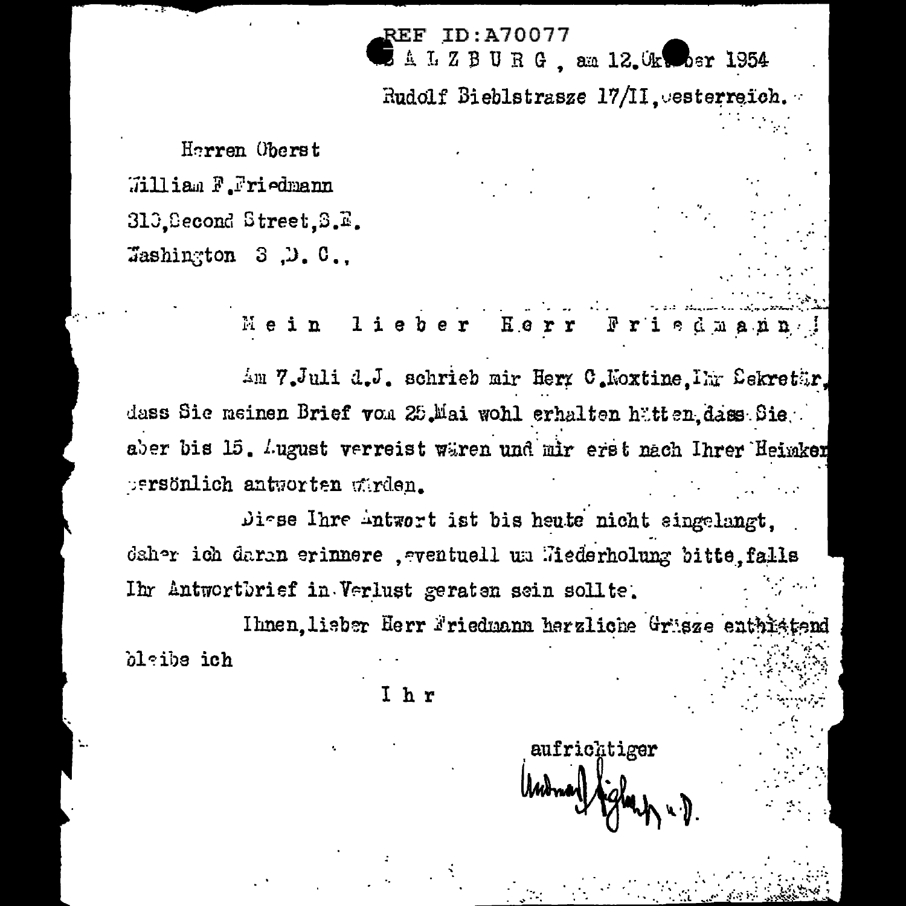REF L Z B U R G am 12. Okwober 1954

Rudolf Bieblstrasze 17/II. esterreich.

Herren Oberst William F.Friedmann 310 Second Street S.E. Tashington  $3, 0, 0$ .

> $1$  i  $e$   $b$ Ме i n

Am 7.Juli d.J. schrieb mir Herr C.Noxtine. Ihr Sekretär.

dass Sie meinen Brief von 25.Mai wohl erhalten hätten dass Sie aber bis 15. Lugust verreist wären und mir erst nach Ihrer Heimken persönlich antworten wirden.

Diese Ihre Antwort ist bis heute nicht singelangt. daher ich daran erinnere , ventuell um Wiederholung bitte falls Ihr Antwortbrief in Verlust geraten sein sollte.

Ihnen lieber Herr Friedmann herzliche Grüsze enthisten blaibs ich

Ihr

aufrichtiger Monary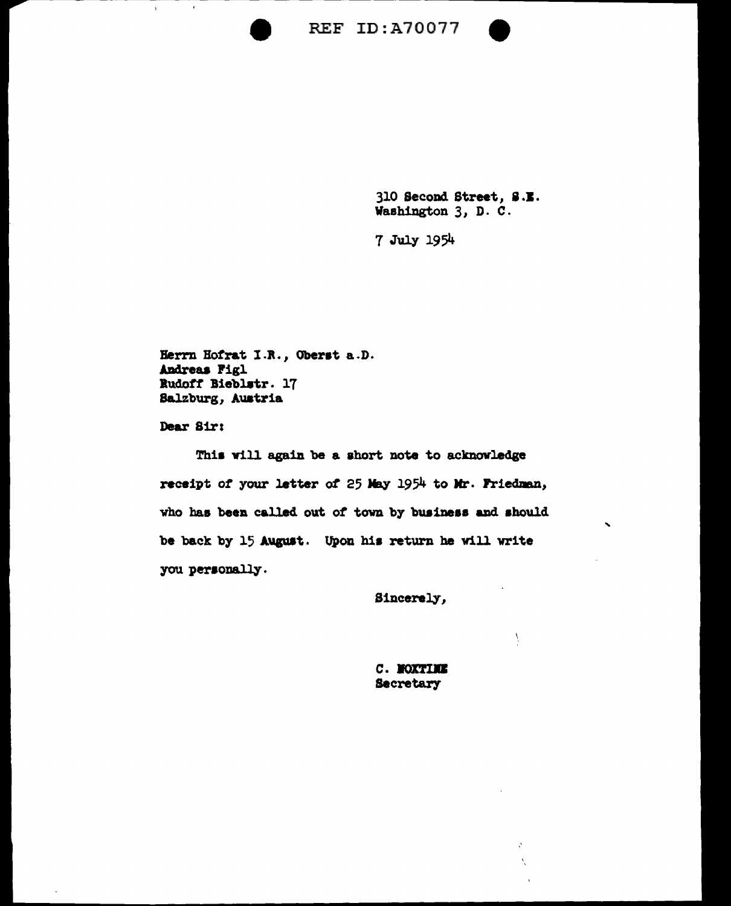



'

Ŷ

 $\mathbf{A}$ X

310 Second Street, 8.J. Washington 3, D. C.

7 July 1954

Berrn Botrat I.R., Oberst a.D. Andreas Figl Budott Bieblatr. 17 Salzburg, Auatria

Dear Sir:

 $\overline{\phantom{a}}$ 

 $\bar{\rm v}$ 

This will again be a short note to acknowledge receipt of your letter of 25 May 1954 to Mr. Friedman, who has been called out of town by business and should be back by 15 August. Upon his return he will write you personally.

Sincerely,

*c. NOXTIME* **Secretary**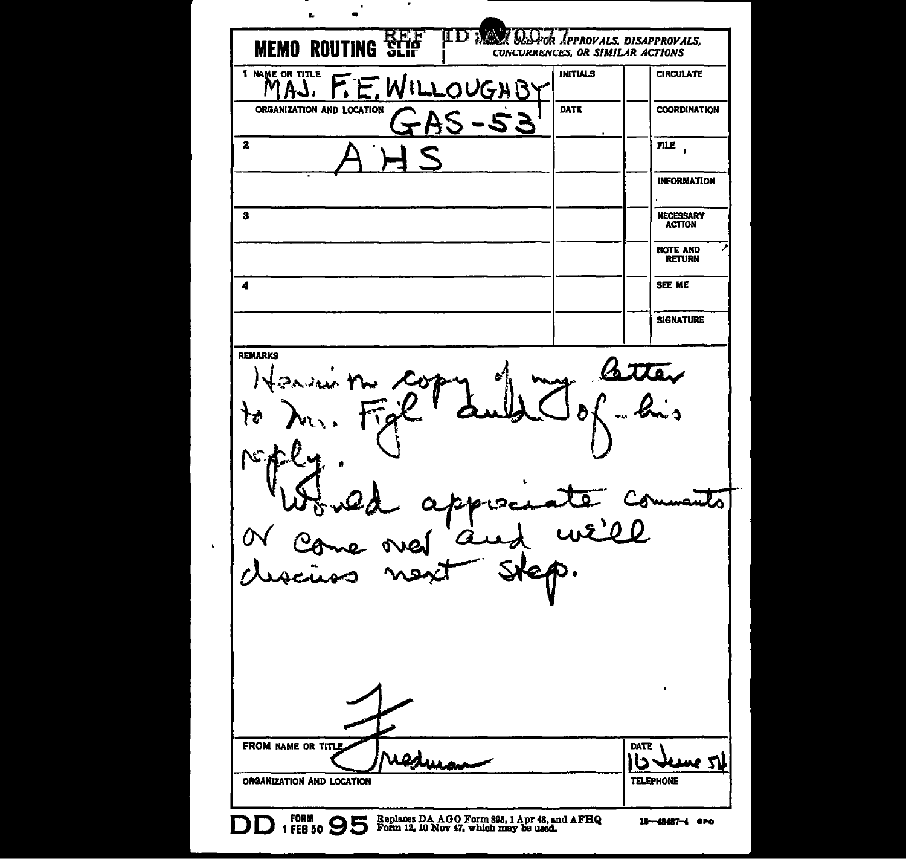$\mathbf{r}$  $\blacksquare$ Ł ID : QQ ok APPROVALS, DISAPPROVALS, **MEMO ROUTING SLIP** CONCURRENCES, OR SIMILAR ACTIONS I NAME OR TITLE **INITIALS CIRCULATE** F.E. WILLOUGHBY MAJ. ORGANIZATION AND LOCATION **DATE COORDINATION** AS - 53 FILE,  $\mathbf{z}$ **INFORMATION**  $\mathbf{3}$ **NECESSARY**<br>ACTION **NOTE AND RETURN** SEE ME  $\overline{\mathbf{A}}$ **SIGNATURE REMARKS** atten ोर  $N$ ملته we'll  $\bar{\mathbf{r}}$ FROM NAME OR TITLE DATE redura い ne si **TELEPHONE** ORGANIZATION AND LOCATION DD 1 FORM 9 95 Replaces DA AGO Form 805, 1 Apr 48, and AFHQ 16-48487-4 GPO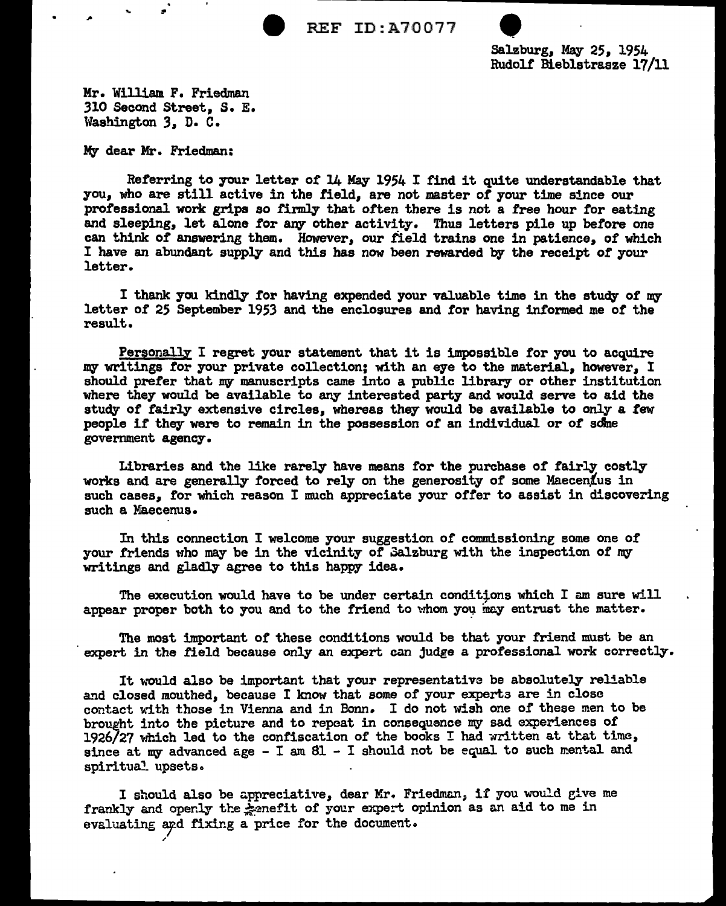REF ID:A70077

Salzburg, May 25, 1954<br>Rudolf Bieblstrasze 17/11

Mr. William F. Friedman 310 Second Street, s. E. Washington 3, D. C.

My dear Mr. Friedman:

..

Referring to your letter of 14 May 1954 I find it quite understandable that you, who are still active in the field, are not master *ot* your time since our professional work grips so firmly that often there is not a free hour for eating and sleeping, let alone tor any other activity. Thus letters pile up before one can think of answering them. However, our field trains one in patience, of which I have an abundant supply and this has now been rewarded by the receipt *ot* your letter.

I thank yau kindly tor having expended your valuable time in the study of my letter *ot* 25 September 1953 and the enclosures and tor having informed me *ot* the result.

Personally I regret your statement that it is impossible for you to acquire my writings for your private collection; with an eye to the material, however, I should prefer that my manuscripts came into a public library or other institution where they would be available to any interested party and would serve to aid the study of fairly extensive circles, whereas they would be available to only a few people it they were to remain in the possession of an individual or *ot* sdlne government agency.

Libraries and the like rarely have means tor the purchase of fairly costly works and are generally forced to rely on the generosity of some Maecenius in such cases. for which reason I much appreciate your offer to assist in discovering such a Maecenus.

In this connection I welcome your suggestion or commissioning eome one of your friends who may be in the vicinity of 3alzburg with the inspection of my writings and gladly agree to this happy idea.

The execution would have to be under certain conditions which I am sure will appear proper both to you and to the friend to whom you may entrust the matter.

The most important of these conditions would be that your friend must be an expert in the field because only an expert can judge a professional work correctly.

It would also be important that your representative be absolutely reliable and closed mouthed, because I know that some of your experts are in close contact with those in Vienna and in Bonn. I do not wish one of these men to be brought into the picture and to repeat in consequence my sad experiences of 1926/27 which led to the confiscation of the books I had written at that time, since at my advanced age  $-$  I am  $8l$  - I should not be equal to such mental and spiritual upsets.

I should also be appreciative, dear Mr. Friedman, if you would give me frankly and openly the kanefit of your expert opinion as an aid to me in evaluating and fixing a price for the document.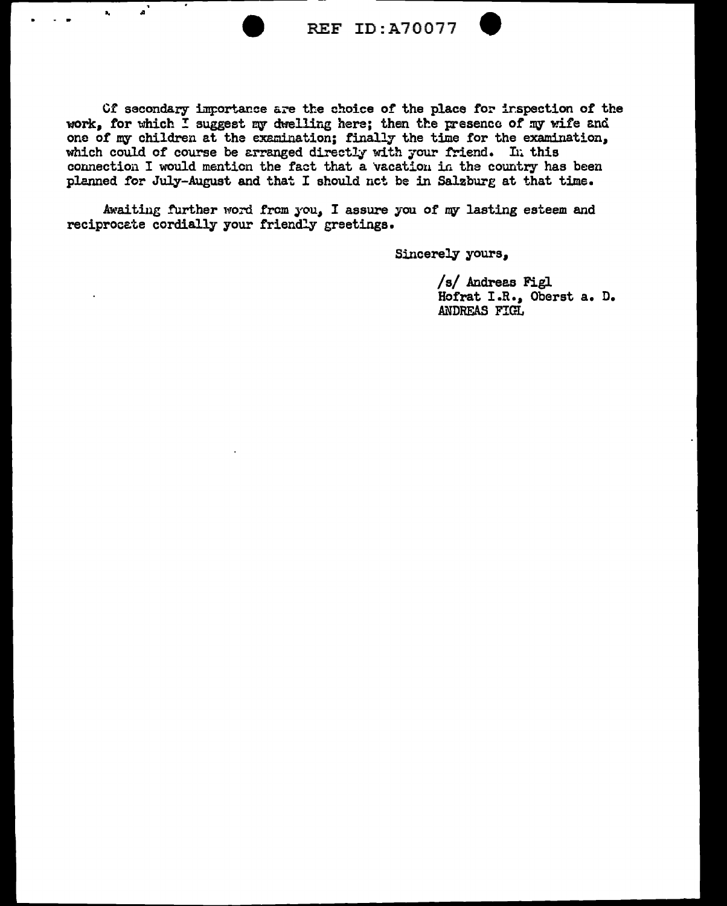$\mathbf{a}^{\dagger}$ 

**REF ID: A70077** 

Of secondary importance are the choice of the place for inspection of the work. for which I suggest my dwelling here: then the presence of my wife and one of my children at the examination; finally the time for the examination, which could of course be arranged directly with your friend. In this connection I would mention the fact that a vacation in the country has been planned for July-August and that I should not be in Salzburg at that time.

Awaiting further word from you, I assure you of my lasting esteem and reciprocate cordially your friendly greetings.

Sincerely yours,

/s/ Andreas Figl Hofrat I.R., Oberst a. D. ANDREAS FIGL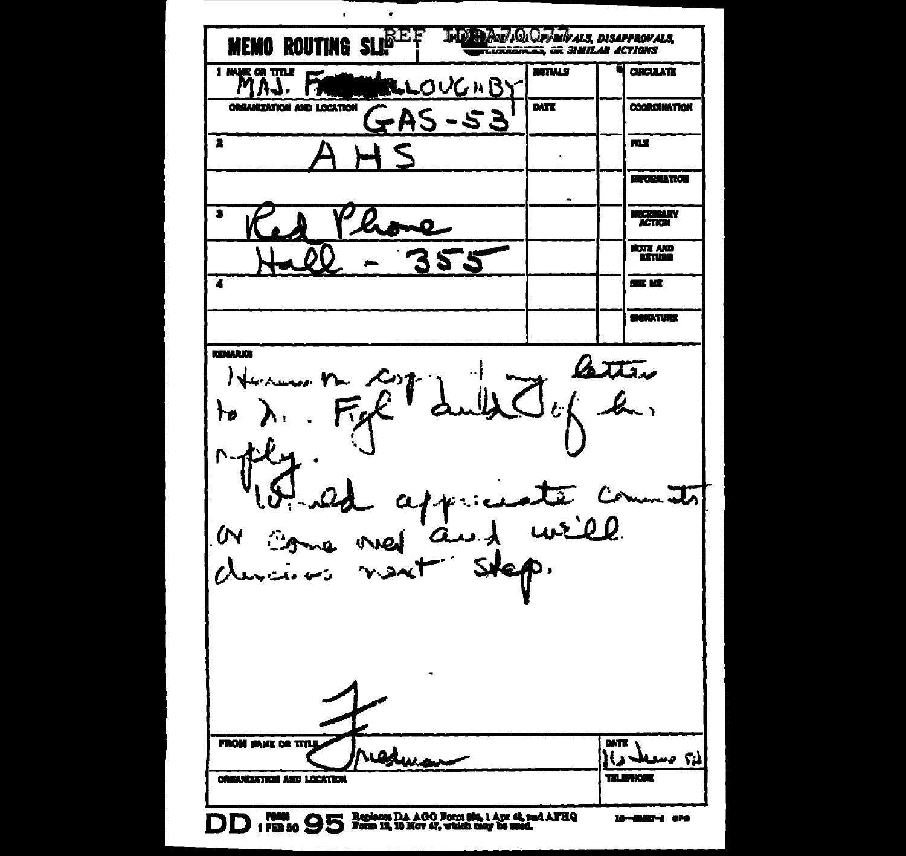$\mathbf{r}$  $\overline{a}$ **MEMO ROUTING SLIPEF** INIO PART/COCAPTROVALS, DISAPPROVALS, **URRANCES OR SIMILAR ACTIONS** I NAME OR TITLE **UNTIALS CIRCULATE** LLOUGHBY AJ. П **ORGANIZATION AND LOCATION DATE COORDINATION**  $2A5 - 53$  $\overline{\mathbf{z}}$ 風景  $\mathbf{r}$ **INFORMATION** RECESSARY  $\overline{\bullet}$ **ACTION HOTE AND** 2  $\overline{\bullet}$ aa w **MAKATURE ROWLER** atter と ħρ l'austrements **N** durairos  $v \times t$ **DATE FROM NAME OR TITLE** edwar لم؟ صعد **ORGANIZATION AND LOCATION TELEWONE** DD : FEB 50 95 Begines DA AGO Form 80, 1 Apr 4, and AFBQ  $16 - 6047 - 670$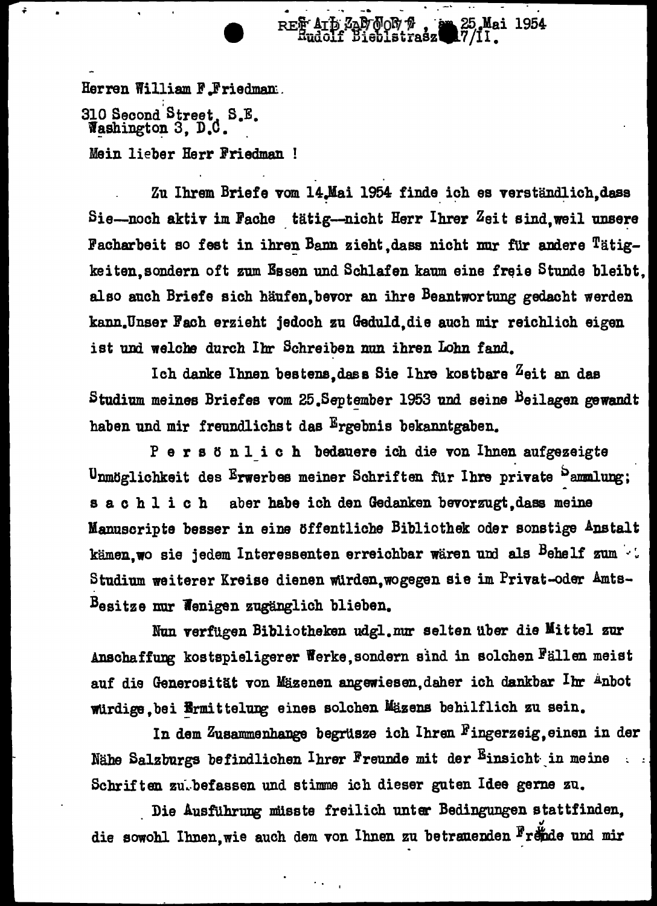Herren William F.Friedman: 310 Second Street, S.E. Washington 3, D.C. Mein lieber Herr Friedman !

•

Zu Ihrem Briefe vom 14.Mai 1954 finde ich es verständlich,dass Sie-noch aktiv im Fache tätig--nicht Herr Ihrer Zeit sind, weil unsere Facharbeit so fest in ihren Bann zieht dass nicht nur für andere Tätigkeiten, sondern oft zum Essen und Schlafen kaum eine freie Stunde bleibt. also auch Briefe sich häufen, bevor an ihre Beantwortung gedacht werden kann.Unser Fach erzieht jedoch zu Geduld, die auch mir reichlich eigen ist und welche durch Ihr Schreiben nun ihren Lohn fand.

REF ATT ZAP NOR 7 , a

am 25 Mai 1954

Ich danke Ihnen bestens, dass Sie Ihre kostbare  $Z$ eit an das Studium meines Briefes vom 25.September 1953 und seine Beilagen gewandt haben und mir freundlichs t das Ergebnis bekanntgaben.

P e r s ö n l i c h bedauere ich die von Ihnen aufgezeigte Unmöglichkeit des Erwerbes meiner Schriften für Ihre private <sup>b</sup>ammlung; s a c h l i c h aber habe ich den Gedanken bevorzugt, dass meine Manuscripte besser in eine öffentliche Bibliothek oder sonstige Anstalt kämen, wo sie jedem Interessenten erreichbar waren und als Behelf zum  $\cdot$ . Studium weiterer Kreise dienen würden, wogegen sie im Privat-oder Amts-Besitze nur Wenigen zugänglich blieben.

Nun verfügen Bibliotheken udgl.nur selten über die Mittel zur Anschaffung kostspieligerer Werke, sondern sind in solchen Fällen meist auf die Generosität von Mäzenen angewiesen,daher ich dankbar  $I$ hr Anbot würdige, bei Ermittelung eines solchen Mäzens behilflich zu sein.

In dem Zusammenhange begrüsze ich Ihren Fingerzeig,einen in der Nähe Salzburgs befindlichen Ihrer Freunde mit der Einsicht in meine Schriften zu. befassen und stimme ich dieser guten Idee gerne zu.

Die Ausführung müsste freilich unter Bedingungen stattfinden, die sowohl Ihnen, wie auch dem von Ihnen zu betrauenden Frende und mir